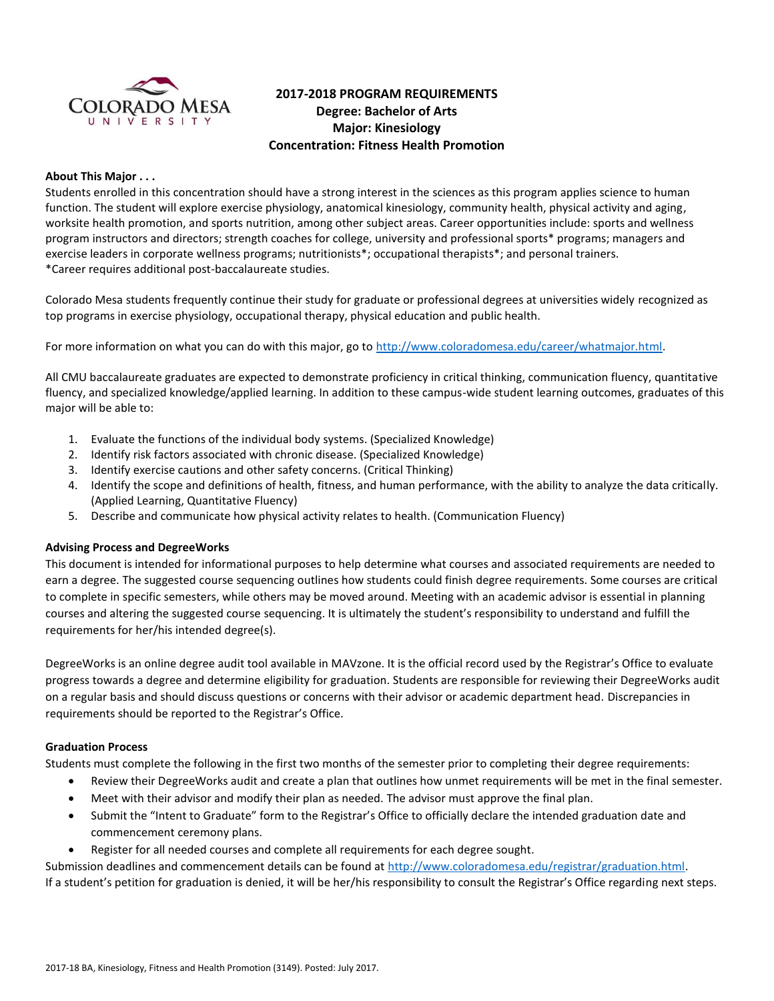

## **2017-2018 PROGRAM REQUIREMENTS Degree: Bachelor of Arts Major: Kinesiology Concentration: Fitness Health Promotion**

#### **About This Major . . .**

Students enrolled in this concentration should have a strong interest in the sciences as this program applies science to human function. The student will explore exercise physiology, anatomical kinesiology, community health, physical activity and aging, worksite health promotion, and sports nutrition, among other subject areas. Career opportunities include: sports and wellness program instructors and directors; strength coaches for college, university and professional sports\* programs; managers and exercise leaders in corporate wellness programs; nutritionists\*; occupational therapists\*; and personal trainers. \*Career requires additional post-baccalaureate studies.

Colorado Mesa students frequently continue their study for graduate or professional degrees at universities widely recognized as top programs in exercise physiology, occupational therapy, physical education and public health.

For more information on what you can do with this major, go to [http://www.coloradomesa.edu/career/whatmajor.html.](http://www.coloradomesa.edu/career/whatmajor.html)

All CMU baccalaureate graduates are expected to demonstrate proficiency in critical thinking, communication fluency, quantitative fluency, and specialized knowledge/applied learning. In addition to these campus-wide student learning outcomes, graduates of this major will be able to:

- 1. Evaluate the functions of the individual body systems. (Specialized Knowledge)
- 2. Identify risk factors associated with chronic disease. (Specialized Knowledge)
- 3. Identify exercise cautions and other safety concerns. (Critical Thinking)
- 4. Identify the scope and definitions of health, fitness, and human performance, with the ability to analyze the data critically. (Applied Learning, Quantitative Fluency)
- 5. Describe and communicate how physical activity relates to health. (Communication Fluency)

## **Advising Process and DegreeWorks**

This document is intended for informational purposes to help determine what courses and associated requirements are needed to earn a degree. The suggested course sequencing outlines how students could finish degree requirements. Some courses are critical to complete in specific semesters, while others may be moved around. Meeting with an academic advisor is essential in planning courses and altering the suggested course sequencing. It is ultimately the student's responsibility to understand and fulfill the requirements for her/his intended degree(s).

DegreeWorks is an online degree audit tool available in MAVzone. It is the official record used by the Registrar's Office to evaluate progress towards a degree and determine eligibility for graduation. Students are responsible for reviewing their DegreeWorks audit on a regular basis and should discuss questions or concerns with their advisor or academic department head. Discrepancies in requirements should be reported to the Registrar's Office.

## **Graduation Process**

Students must complete the following in the first two months of the semester prior to completing their degree requirements:

- Review their DegreeWorks audit and create a plan that outlines how unmet requirements will be met in the final semester.
- Meet with their advisor and modify their plan as needed. The advisor must approve the final plan.
- Submit the "Intent to Graduate" form to the Registrar's Office to officially declare the intended graduation date and commencement ceremony plans.
- Register for all needed courses and complete all requirements for each degree sought.

Submission deadlines and commencement details can be found at [http://www.coloradomesa.edu/registrar/graduation.html.](http://www.coloradomesa.edu/registrar/graduation.html) If a student's petition for graduation is denied, it will be her/his responsibility to consult the Registrar's Office regarding next steps.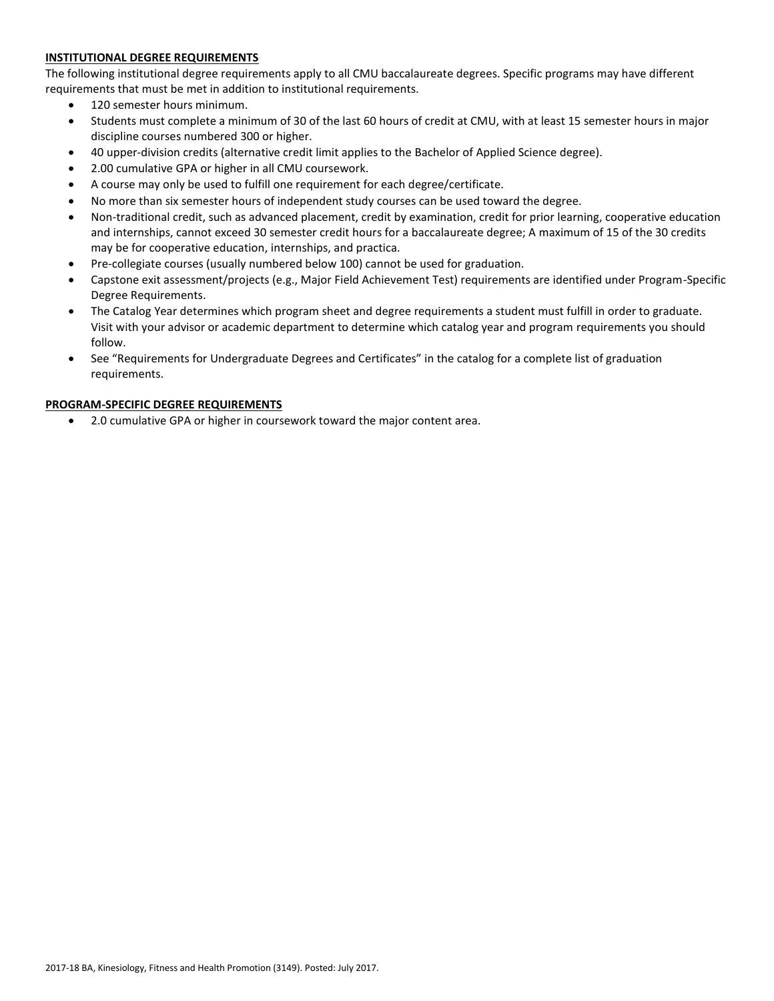## **INSTITUTIONAL DEGREE REQUIREMENTS**

The following institutional degree requirements apply to all CMU baccalaureate degrees. Specific programs may have different requirements that must be met in addition to institutional requirements.

- 120 semester hours minimum.
- Students must complete a minimum of 30 of the last 60 hours of credit at CMU, with at least 15 semester hours in major discipline courses numbered 300 or higher.
- 40 upper-division credits (alternative credit limit applies to the Bachelor of Applied Science degree).
- 2.00 cumulative GPA or higher in all CMU coursework.
- A course may only be used to fulfill one requirement for each degree/certificate.
- No more than six semester hours of independent study courses can be used toward the degree.
- Non-traditional credit, such as advanced placement, credit by examination, credit for prior learning, cooperative education and internships, cannot exceed 30 semester credit hours for a baccalaureate degree; A maximum of 15 of the 30 credits may be for cooperative education, internships, and practica.
- Pre-collegiate courses (usually numbered below 100) cannot be used for graduation.
- Capstone exit assessment/projects (e.g., Major Field Achievement Test) requirements are identified under Program-Specific Degree Requirements.
- The Catalog Year determines which program sheet and degree requirements a student must fulfill in order to graduate. Visit with your advisor or academic department to determine which catalog year and program requirements you should follow.
- See "Requirements for Undergraduate Degrees and Certificates" in the catalog for a complete list of graduation requirements.

## **PROGRAM-SPECIFIC DEGREE REQUIREMENTS**

2.0 cumulative GPA or higher in coursework toward the major content area.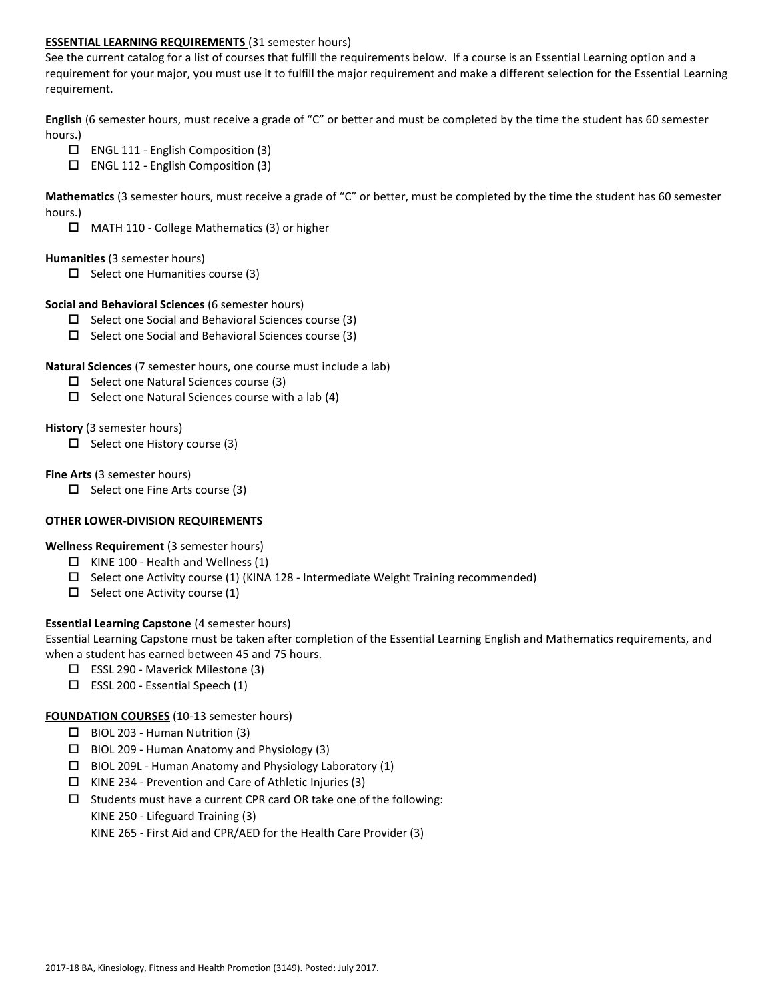#### **ESSENTIAL LEARNING REQUIREMENTS** (31 semester hours)

See the current catalog for a list of courses that fulfill the requirements below. If a course is an Essential Learning option and a requirement for your major, you must use it to fulfill the major requirement and make a different selection for the Essential Learning requirement.

**English** (6 semester hours, must receive a grade of "C" or better and must be completed by the time the student has 60 semester hours.)

- $\Box$  ENGL 111 English Composition (3)
- $\Box$  ENGL 112 English Composition (3)

**Mathematics** (3 semester hours, must receive a grade of "C" or better, must be completed by the time the student has 60 semester hours.)

MATH 110 - College Mathematics (3) or higher

#### **Humanities** (3 semester hours)

 $\Box$  Select one Humanities course (3)

#### **Social and Behavioral Sciences** (6 semester hours)

- $\Box$  Select one Social and Behavioral Sciences course (3)
- $\Box$  Select one Social and Behavioral Sciences course (3)

#### **Natural Sciences** (7 semester hours, one course must include a lab)

- $\square$  Select one Natural Sciences course (3)
- $\Box$  Select one Natural Sciences course with a lab (4)

#### **History** (3 semester hours)

 $\Box$  Select one History course (3)

#### **Fine Arts** (3 semester hours)

 $\Box$  Select one Fine Arts course (3)

#### **OTHER LOWER-DIVISION REQUIREMENTS**

## **Wellness Requirement** (3 semester hours)

- $\Box$  KINE 100 Health and Wellness (1)
- $\square$  Select one Activity course (1) (KINA 128 Intermediate Weight Training recommended)
- $\Box$  Select one Activity course (1)

## **Essential Learning Capstone** (4 semester hours)

Essential Learning Capstone must be taken after completion of the Essential Learning English and Mathematics requirements, and when a student has earned between 45 and 75 hours.

- $\Box$  ESSL 290 Maverick Milestone (3)
- $\square$  ESSL 200 Essential Speech (1)

## **FOUNDATION COURSES** (10-13 semester hours)

- BIOL 203 Human Nutrition (3)
- $\Box$  BIOL 209 Human Anatomy and Physiology (3)
- $\Box$  BIOL 209L Human Anatomy and Physiology Laboratory (1)
- $\Box$  KINE 234 Prevention and Care of Athletic Injuries (3)
- $\square$  Students must have a current CPR card OR take one of the following: KINE 250 - Lifeguard Training (3)

KINE 265 - First Aid and CPR/AED for the Health Care Provider (3)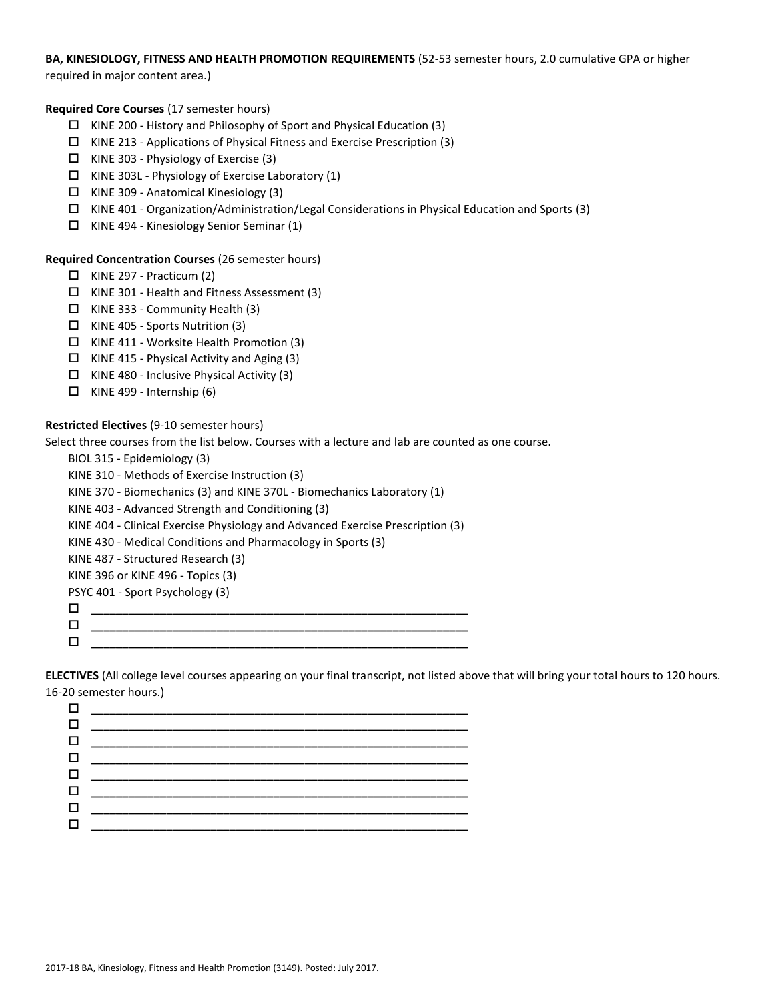# **BA, KINESIOLOGY, FITNESS AND HEALTH PROMOTION REQUIREMENTS** (52-53 semester hours, 2.0 cumulative GPA or higher

required in major content area.)

## **Required Core Courses** (17 semester hours)

- $\Box$  KINE 200 History and Philosophy of Sport and Physical Education (3)
- $\Box$  KINE 213 Applications of Physical Fitness and Exercise Prescription (3)
- $\Box$  KINE 303 Physiology of Exercise (3)
- $\Box$  KINE 303L Physiology of Exercise Laboratory (1)
- $\Box$  KINE 309 Anatomical Kinesiology (3)
- $\Box$  KINE 401 Organization/Administration/Legal Considerations in Physical Education and Sports (3)
- $\Box$  KINE 494 Kinesiology Senior Seminar (1)

## **Required Concentration Courses** (26 semester hours)

- $\Box$  KINE 297 Practicum (2)
- KINE 301 Health and Fitness Assessment (3)
- $\Box$  KINE 333 Community Health (3)
- $\Box$  KINE 405 Sports Nutrition (3)
- $\Box$  KINE 411 Worksite Health Promotion (3)
- $\Box$  KINE 415 Physical Activity and Aging (3)
- $\Box$  KINE 480 Inclusive Physical Activity (3)
- $\Box$  KINE 499 Internship (6)

## **Restricted Electives** (9-10 semester hours)

Select three courses from the list below. Courses with a lecture and lab are counted as one course.

- BIOL 315 Epidemiology (3) KINE 310 - Methods of Exercise Instruction (3) KINE 370 - Biomechanics (3) and KINE 370L - Biomechanics Laboratory (1) KINE 403 - Advanced Strength and Conditioning (3) KINE 404 - Clinical Exercise Physiology and Advanced Exercise Prescription (3) KINE 430 - Medical Conditions and Pharmacology in Sports (3) KINE 487 - Structured Research (3) KINE 396 or KINE 496 - Topics (3) PSYC 401 - Sport Psychology (3) **\_\_\_\_\_\_\_\_\_\_\_\_\_\_\_\_\_\_\_\_\_\_\_\_\_\_\_\_\_\_\_\_\_\_\_\_\_\_\_\_\_\_\_\_\_\_\_\_\_\_\_\_\_\_\_\_\_\_\_\_ \_\_\_\_\_\_\_\_\_\_\_\_\_\_\_\_\_\_\_\_\_\_\_\_\_\_\_\_\_\_\_\_\_\_\_\_\_\_\_\_\_\_\_\_\_\_\_\_\_\_\_\_\_\_\_\_\_\_\_\_**
	- **\_\_\_\_\_\_\_\_\_\_\_\_\_\_\_\_\_\_\_\_\_\_\_\_\_\_\_\_\_\_\_\_\_\_\_\_\_\_\_\_\_\_\_\_\_\_\_\_\_\_\_\_\_\_\_\_\_\_\_\_**

**ELECTIVES** (All college level courses appearing on your final transcript, not listed above that will bring your total hours to 120 hours. 16-20 semester hours.)

| $\Box$ |                                                                                                                          |
|--------|--------------------------------------------------------------------------------------------------------------------------|
|        | <b>Li</b> and the second control of the second second the second second second second second second second second second |
|        |                                                                                                                          |
|        |                                                                                                                          |
|        |                                                                                                                          |
|        |                                                                                                                          |